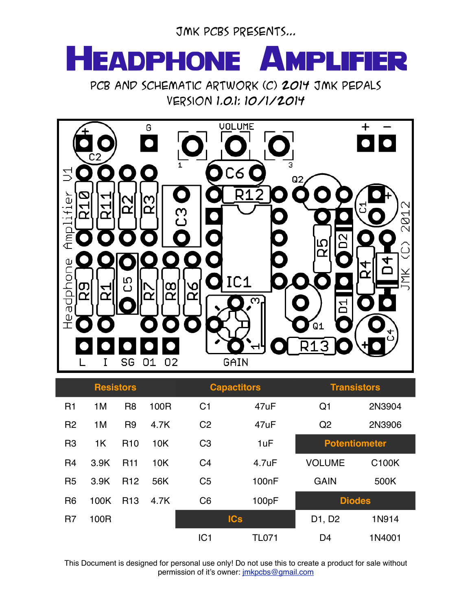JMK PCBs presents...

## HEADPHONE AMPL

PCB AND SCHEMATIC ARTWORK (C) 2014 JMK PEDALS Version 1.0.1: 10/1/2014



| <b>Resistors</b> |                |                 |      | <b>Capactitors</b> |                    | <b>Transistors</b>   |        |
|------------------|----------------|-----------------|------|--------------------|--------------------|----------------------|--------|
| R <sub>1</sub>   | 1M             | R <sub>8</sub>  | 100R | C <sub>1</sub>     | 47uF               | Q <sub>1</sub>       | 2N3904 |
| R <sub>2</sub>   | 1M             | R <sub>9</sub>  | 4.7K | C <sub>2</sub>     | 47uF               | Q2                   | 2N3906 |
| R <sub>3</sub>   | 1 <sup>K</sup> | R <sub>10</sub> | 10K  | C <sub>3</sub>     | 1uF                | <b>Potentiometer</b> |        |
| R <sub>4</sub>   | 3.9K           | <b>R11</b>      | 10K  | C <sub>4</sub>     | 4.7uF              | <b>VOLUME</b>        | C100K  |
| R <sub>5</sub>   | 3.9K           | R <sub>12</sub> | 56K  | C <sub>5</sub>     | 100 <sub>n</sub> F | <b>GAIN</b>          | 500K   |
| R <sub>6</sub>   | 100K           | R <sub>13</sub> | 4.7K | C <sub>6</sub>     | 100pF              | <b>Diodes</b>        |        |
| R <sub>7</sub>   | 100R           |                 |      | <b>ICs</b>         |                    | D1, D2               | 1N914  |
|                  |                |                 |      | IC <sub>1</sub>    | TL071              | D <sub>4</sub>       | 1N4001 |

This Document is designed for personal use only! Do not use this to create a product for sale without permission of it's owner: [jmkpcbs@gmail.com](mailto:jacobkokura@gmail.com)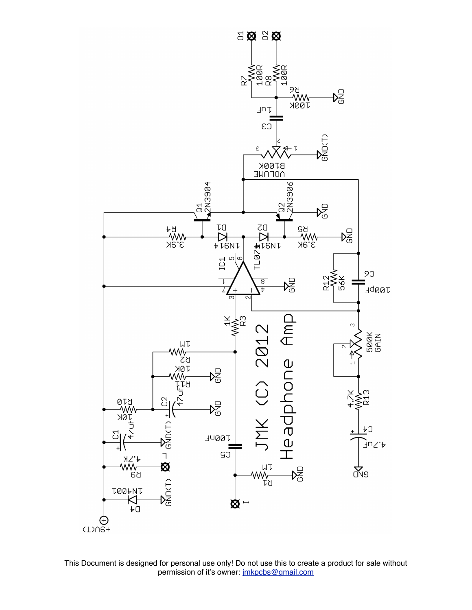

This Document is designed for personal use only! Do not use this to create a product for sale without permission of it's owner: [jmkpcbs@gmail.com](mailto:jacobkokura@gmail.com)